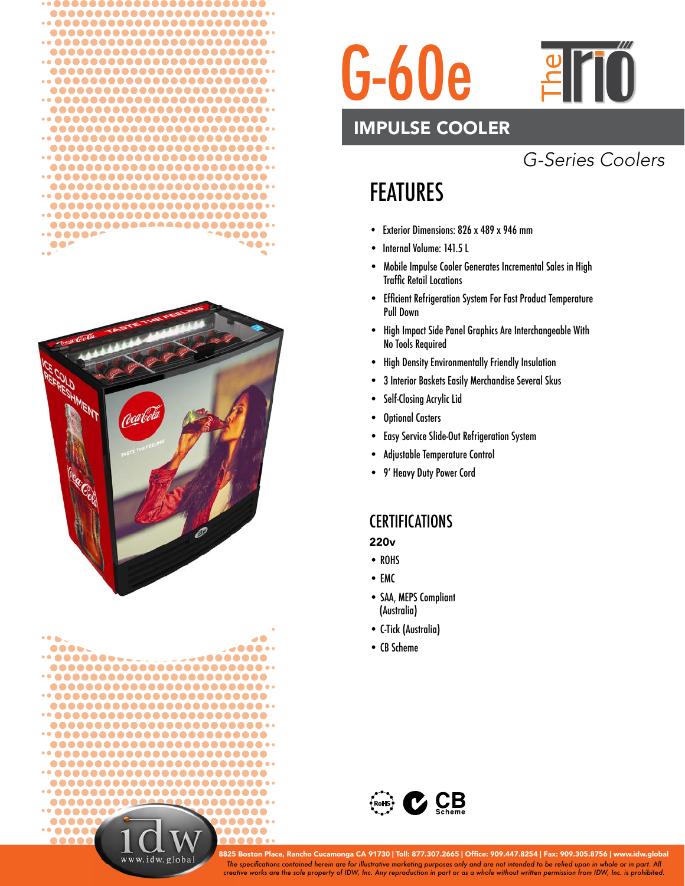







### IMPULSE COOLER

## *G-Series Coolers*

# FEATURES

- Exterior Dimensions: 826 x 489 x 946 mm
- Internal Volume: 141.5 L
- Mobile Impulse Cooler Generates Incremental Sales in High **Traffic Retail Locations**
- Efficient Refrigeration System For Fast Product Temperature Pull Down
- High Impact Side Panel Graphics Are Interchangeable With No Tools Required
- High Density Environmentally Friendly Insulation
- 3 Interior Baskets Easily Merchandise Several Skus
- Self-Closing Acrylic Lid
- Optional Casters
- Easy Service Slide-Out Refrigeration System
- Adjustable Temperature Control
- 9' Heavy Duty Power Cord

### **CERTIFICATIONS**

220v

- ROHS
- EMC
- SAA, MEPS Compliant (Australia)
- C-Tick (Australia)
- CB Scheme



*The specifi cations contained herein are for illustrative marketing purposes only and are not intended to be relied upon in whole or in part. All creative works are the sole property of IDW, Inc. Any reproduction in part or as a whole without written permission from IDW, Inc. is prohibited.* 8825 Boston Place, Rancho Cucamonga CA 91730 | Toll: 877.307.2665 | Office: 909.447.8254 | Fax: 909.305.8756 | www.idw.global